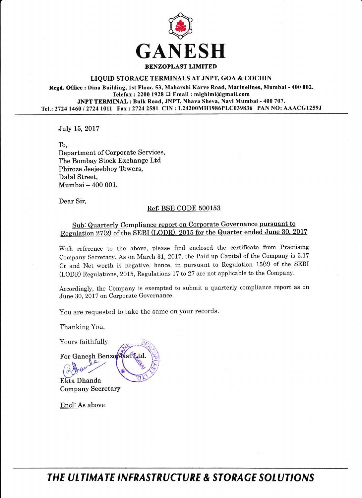

## LIQUID STORAGE TERMINALS AT JNPT, GOA & COCHIN

Regd. Office: Dina Building, Lst Floor,53, Maharshi Karve Road, Marinelines, Mumbai - 400 002. Telefax : 2200 1928  $\Box$  Email : mlgblml@gmail.com JNPT TERMINAL : Bulk Road, JNPT, Nhava Sheva, Navi Mumbai - 400 707. Tel.: 2724 1460 / 2724 1011 Fax: 2724 2581 CIN: L24200MH1986PLC039836 PAN NO: AAACG1259J

JuIy 15, 2017

To, Department of Corporate Services, The Bombay Stock Exchange Ltd Phiroze Jeejeebhoy Towers,

Dalal Street, Mumbai - 400 001.

Dear Sir,

## Ref: BSE CODE 500153

## Sub: Quarterly Compliance report on Corporate Governance pursuant to Regulation 27(2) of the SEBI (LODR), 2015 for the Quarter ended June 30, 2017

With reference to the above, please find enclosed the certificate from Practising Company Secretary. As on March 31, 2017, the Paid up Capital of the Company is 5.17 Cr and Net worth is negative, hence, in pursuant to Regulation 15(2) of the SEBI (LODR) Regulations, 2015, Regulations 17 to 27 arc not applicable to the Company.

Accordingly, the Company is exempted to submit a quarterly compliance report as on June 30, 2017 on Corporate Governance.

You are requested to take the same on your records.

**PO** 

Thanking You,

Yours faithfully

Company Secretary  $B<sub>1</sub>$  ,  $B<sub>2</sub>$  ,  $B<sub>1</sub>$ EEa Dhanda

For Ganesh Benzopfast Ltd.

Encl: As above